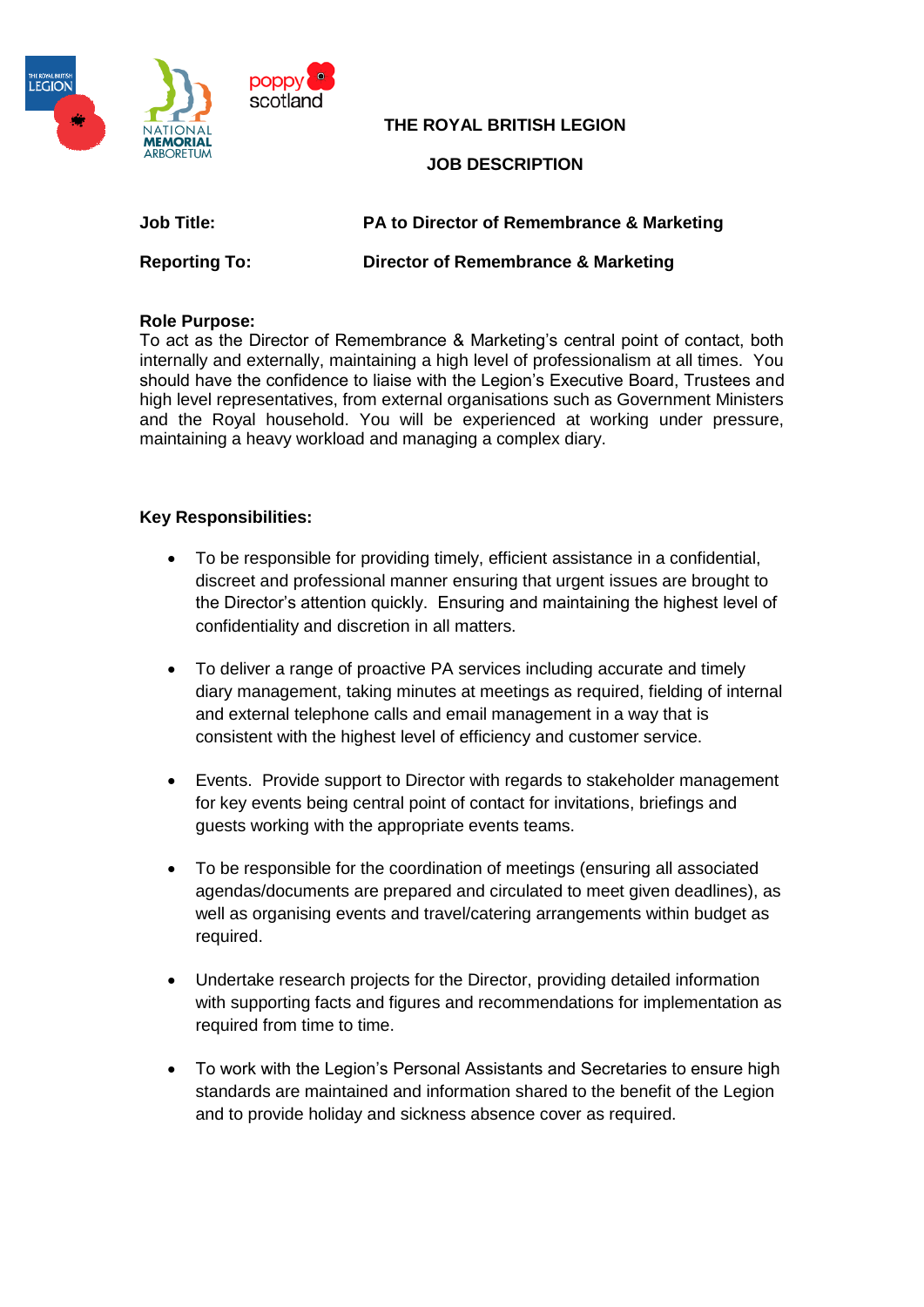

**THE ROYAL BRITISH LEGION**

## **JOB DESCRIPTION**

**Job Title: PA to Director of Remembrance & Marketing**

**Reporting To: Director of Remembrance & Marketing**

#### **Role Purpose:**

To act as the Director of Remembrance & Marketing's central point of contact, both internally and externally, maintaining a high level of professionalism at all times. You should have the confidence to liaise with the Legion's Executive Board, Trustees and high level representatives, from external organisations such as Government Ministers and the Royal household. You will be experienced at working under pressure, maintaining a heavy workload and managing a complex diary.

## **Key Responsibilities:**

- To be responsible for providing timely, efficient assistance in a confidential, discreet and professional manner ensuring that urgent issues are brought to the Director's attention quickly. Ensuring and maintaining the highest level of confidentiality and discretion in all matters.
- To deliver a range of proactive PA services including accurate and timely diary management, taking minutes at meetings as required, fielding of internal and external telephone calls and email management in a way that is consistent with the highest level of efficiency and customer service.
- Events. Provide support to Director with regards to stakeholder management for key events being central point of contact for invitations, briefings and guests working with the appropriate events teams.
- To be responsible for the coordination of meetings (ensuring all associated agendas/documents are prepared and circulated to meet given deadlines), as well as organising events and travel/catering arrangements within budget as required.
- Undertake research projects for the Director, providing detailed information with supporting facts and figures and recommendations for implementation as required from time to time.
- To work with the Legion's Personal Assistants and Secretaries to ensure high standards are maintained and information shared to the benefit of the Legion and to provide holiday and sickness absence cover as required.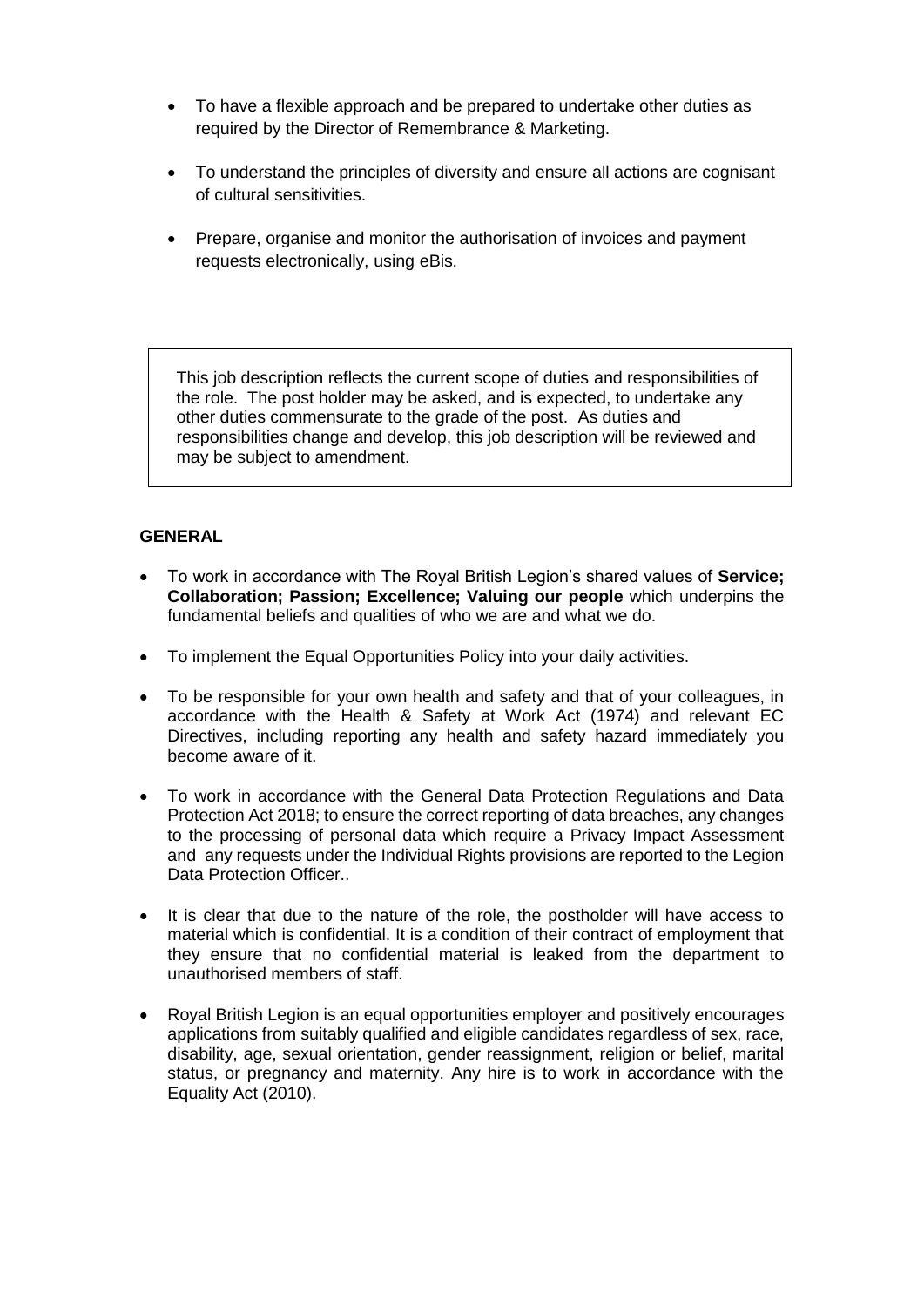- To have a flexible approach and be prepared to undertake other duties as required by the Director of Remembrance & Marketing.
- To understand the principles of diversity and ensure all actions are cognisant of cultural sensitivities.
- Prepare, organise and monitor the authorisation of invoices and payment requests electronically, using eBis.

This job description reflects the current scope of duties and responsibilities of the role. The post holder may be asked, and is expected, to undertake any other duties commensurate to the grade of the post. As duties and responsibilities change and develop, this job description will be reviewed and may be subject to amendment.

## **GENERAL**

- To work in accordance with The Royal British Legion's shared values of **Service; Collaboration; Passion; Excellence; Valuing our people** which underpins the fundamental beliefs and qualities of who we are and what we do.
- To implement the Equal Opportunities Policy into your daily activities.
- To be responsible for your own health and safety and that of your colleagues, in accordance with the Health & Safety at Work Act (1974) and relevant EC Directives, including reporting any health and safety hazard immediately you become aware of it.
- To work in accordance with the General Data Protection Regulations and Data Protection Act 2018; to ensure the correct reporting of data breaches, any changes to the processing of personal data which require a Privacy Impact Assessment and any requests under the Individual Rights provisions are reported to the Legion Data Protection Officer..
- It is clear that due to the nature of the role, the postholder will have access to material which is confidential. It is a condition of their contract of employment that they ensure that no confidential material is leaked from the department to unauthorised members of staff.
- Royal British Legion is an equal opportunities employer and positively encourages applications from suitably qualified and eligible candidates regardless of sex, race, disability, age, sexual orientation, gender reassignment, religion or belief, marital status, or pregnancy and maternity. Any hire is to work in accordance with the Equality Act (2010).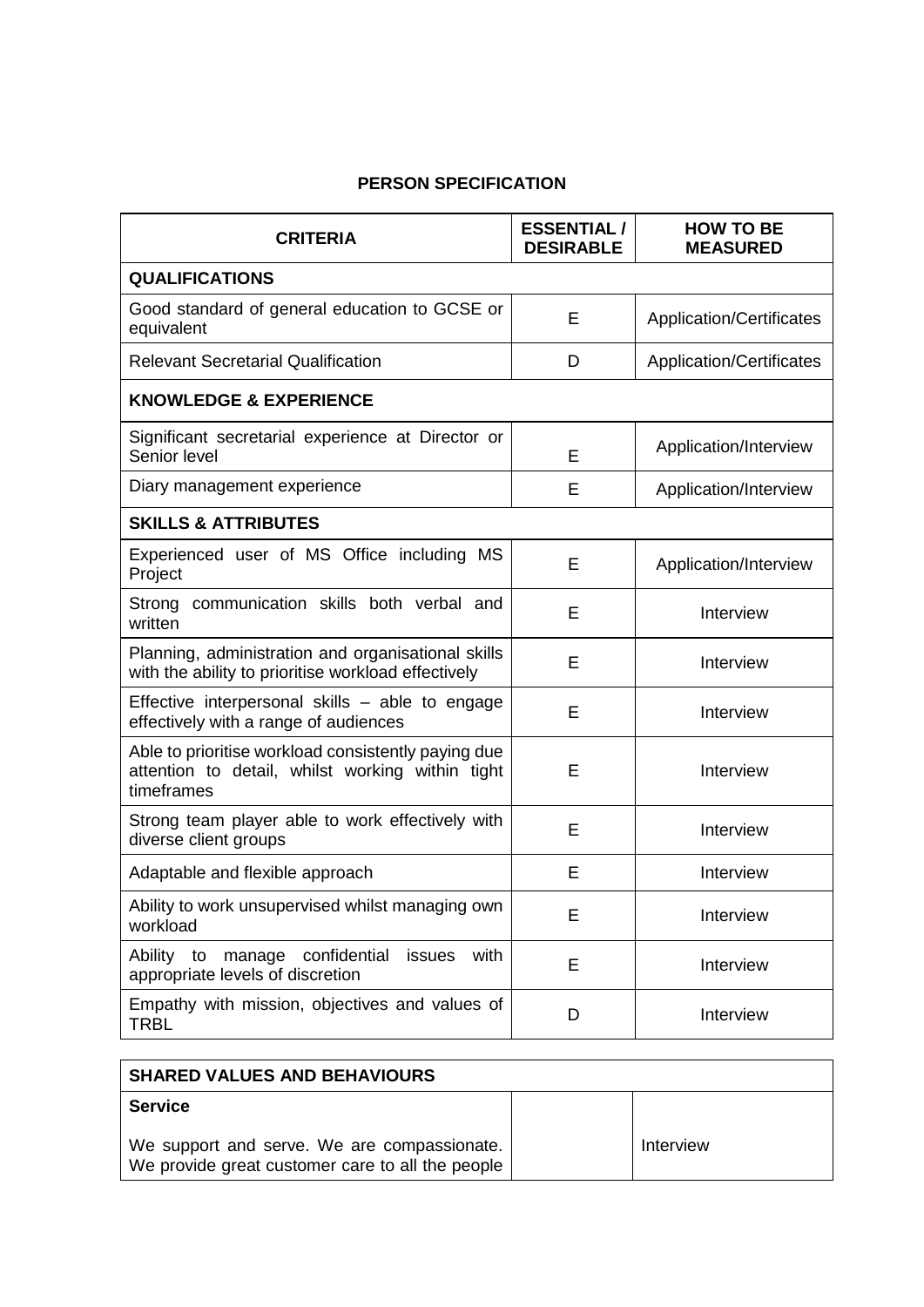# **PERSON SPECIFICATION**

| <b>CRITERIA</b>                                                                                                       | <b>ESSENTIAL/</b><br><b>DESIRABLE</b> | <b>HOW TO BE</b><br><b>MEASURED</b> |
|-----------------------------------------------------------------------------------------------------------------------|---------------------------------------|-------------------------------------|
| <b>QUALIFICATIONS</b>                                                                                                 |                                       |                                     |
| Good standard of general education to GCSE or<br>equivalent                                                           | E                                     | <b>Application/Certificates</b>     |
| <b>Relevant Secretarial Qualification</b>                                                                             | D                                     | <b>Application/Certificates</b>     |
| <b>KNOWLEDGE &amp; EXPERIENCE</b>                                                                                     |                                       |                                     |
| Significant secretarial experience at Director or<br>Senior level                                                     | E                                     | Application/Interview               |
| Diary management experience                                                                                           | E                                     | Application/Interview               |
| <b>SKILLS &amp; ATTRIBUTES</b>                                                                                        |                                       |                                     |
| Experienced user of MS Office including MS<br>Project                                                                 | E                                     | Application/Interview               |
| Strong communication skills both verbal and<br>written                                                                | E                                     | Interview                           |
| Planning, administration and organisational skills<br>with the ability to prioritise workload effectively             | E                                     | Interview                           |
| Effective interpersonal skills - able to engage<br>effectively with a range of audiences                              | E                                     | Interview                           |
| Able to prioritise workload consistently paying due<br>attention to detail, whilst working within tight<br>timeframes | E                                     | Interview                           |
| Strong team player able to work effectively with<br>diverse client groups                                             | E                                     | Interview                           |
| Adaptable and flexible approach                                                                                       | E                                     | Interview                           |
| Ability to work unsupervised whilst managing own<br>workload                                                          | E                                     | Interview                           |
| Ability to<br>confidential<br>with<br>manage<br>issues<br>appropriate levels of discretion                            | E                                     | Interview                           |
| Empathy with mission, objectives and values of<br><b>TRBL</b>                                                         | D                                     | Interview                           |

| <b>SHARED VALUES AND BEHAVIOURS</b>                                                             |           |
|-------------------------------------------------------------------------------------------------|-----------|
| <b>Service</b>                                                                                  |           |
| We support and serve. We are compassionate.<br>We provide great customer care to all the people | Interview |